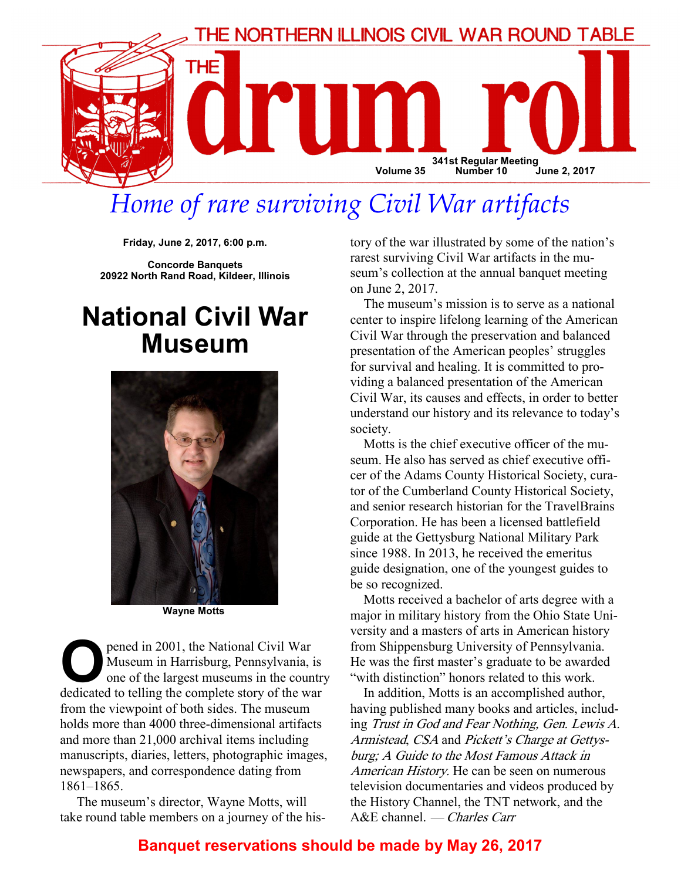

# Home of rare surviving Civil War artifacts

Friday, June 2, 2017, 6:00 p.m.

Concorde Banquets 20922 North Rand Road, Kildeer, Illinois

# National Civil War Museum



Wayne Motts

**O pened in 2001, the National Civil War**<br>Museum in Harrisburg, Pennsylvania, is<br>one of the largest museums in the coun<br>dedicated to telling the complete story of the wa Museum in Harrisburg, Pennsylvania, is one of the largest museums in the country dedicated to telling the complete story of the war from the viewpoint of both sides. The museum holds more than 4000 three-dimensional artifacts and more than 21,000 archival items including manuscripts, diaries, letters, photographic images, newspapers, and correspondence dating from 1861–1865.

 The museum's director, Wayne Motts, will take round table members on a journey of the history of the war illustrated by some of the nation's rarest surviving Civil War artifacts in the museum's collection at the annual banquet meeting on June 2, 2017.

The museum's mission is to serve as a national center to inspire lifelong learning of the American Civil War through the preservation and balanced presentation of the American peoples' struggles for survival and healing. It is committed to providing a balanced presentation of the American Civil War, its causes and effects, in order to better understand our history and its relevance to today's society.

Motts is the chief executive officer of the museum. He also has served as chief executive officer of the Adams County Historical Society, curator of the Cumberland County Historical Society, and senior research historian for the TravelBrains Corporation. He has been a licensed battlefield guide at the Gettysburg National Military Park since 1988. In 2013, he received the emeritus guide designation, one of the youngest guides to be so recognized.

Motts received a bachelor of arts degree with a major in military history from the Ohio State University and a masters of arts in American history from Shippensburg University of Pennsylvania. He was the first master's graduate to be awarded "with distinction" honors related to this work.

In addition, Motts is an accomplished author, having published many books and articles, including Trust in God and Fear Nothing, Gen. Lewis A. Armistead, CSA and Pickett's Charge at Gettysburg; A Guide to the Most Famous Attack in American History. He can be seen on numerous television documentaries and videos produced by the History Channel, the TNT network, and the A&E channel. — Charles Carr

## Banquet reservations should be made by May 26, 2017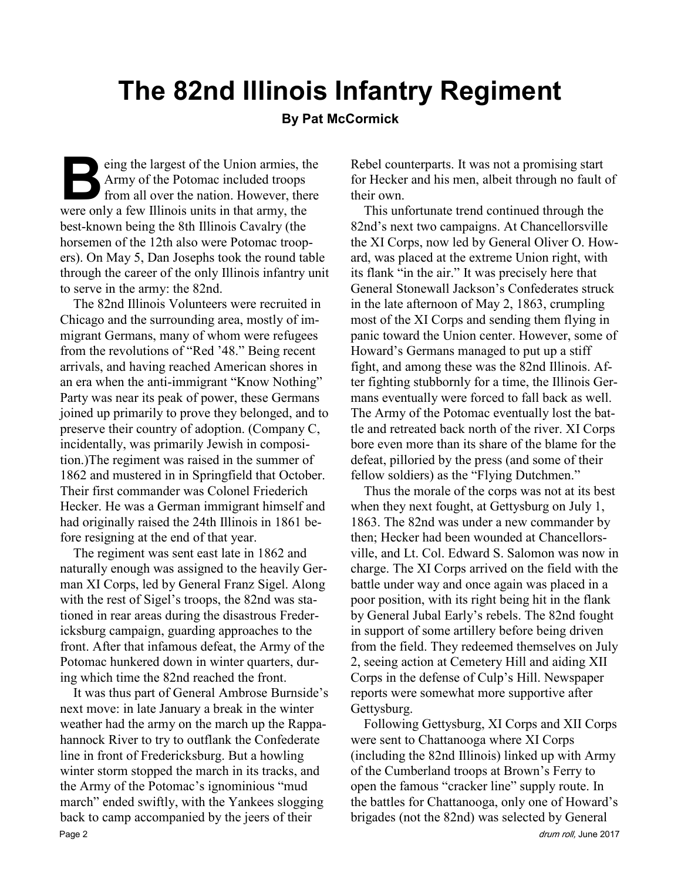# The 82nd Illinois Infantry Regiment

#### By Pat McCormick

eing the largest of the Union armies, the Army of the Potomac included troops from all over the nation. However, there were only a few Illinois units in that army, the best-known being the 8th Illinois Cavalry (the horsemen of the 12th also were Potomac troopers). On May 5, Dan Josephs took the round table through the career of the only Illinois infantry unit to serve in the army: the 82nd.

The 82nd Illinois Volunteers were recruited in Chicago and the surrounding area, mostly of immigrant Germans, many of whom were refugees from the revolutions of "Red '48." Being recent arrivals, and having reached American shores in an era when the anti-immigrant "Know Nothing" Party was near its peak of power, these Germans joined up primarily to prove they belonged, and to preserve their country of adoption. (Company C, incidentally, was primarily Jewish in composition.)The regiment was raised in the summer of 1862 and mustered in in Springfield that October. Their first commander was Colonel Friederich Hecker. He was a German immigrant himself and had originally raised the 24th Illinois in 1861 before resigning at the end of that year.

The regiment was sent east late in 1862 and naturally enough was assigned to the heavily German XI Corps, led by General Franz Sigel. Along with the rest of Sigel's troops, the 82nd was stationed in rear areas during the disastrous Fredericksburg campaign, guarding approaches to the front. After that infamous defeat, the Army of the Potomac hunkered down in winter quarters, during which time the 82nd reached the front.

It was thus part of General Ambrose Burnside's next move: in late January a break in the winter weather had the army on the march up the Rappahannock River to try to outflank the Confederate line in front of Fredericksburg. But a howling winter storm stopped the march in its tracks, and the Army of the Potomac's ignominious "mud march" ended swiftly, with the Yankees slogging back to camp accompanied by the jeers of their Page 2 drum roll, June 2017 and the set of the controll, and the controll, June 2017 and the controll, June 2017

Rebel counterparts. It was not a promising start for Hecker and his men, albeit through no fault of their own.

This unfortunate trend continued through the 82nd's next two campaigns. At Chancellorsville the XI Corps, now led by General Oliver O. Howard, was placed at the extreme Union right, with its flank "in the air." It was precisely here that General Stonewall Jackson's Confederates struck in the late afternoon of May 2, 1863, crumpling most of the XI Corps and sending them flying in panic toward the Union center. However, some of Howard's Germans managed to put up a stiff fight, and among these was the 82nd Illinois. After fighting stubbornly for a time, the Illinois Germans eventually were forced to fall back as well. The Army of the Potomac eventually lost the battle and retreated back north of the river. XI Corps bore even more than its share of the blame for the defeat, pilloried by the press (and some of their fellow soldiers) as the "Flying Dutchmen."

Thus the morale of the corps was not at its best when they next fought, at Gettysburg on July 1, 1863. The 82nd was under a new commander by then; Hecker had been wounded at Chancellorsville, and Lt. Col. Edward S. Salomon was now in charge. The XI Corps arrived on the field with the battle under way and once again was placed in a poor position, with its right being hit in the flank by General Jubal Early's rebels. The 82nd fought in support of some artillery before being driven from the field. They redeemed themselves on July 2, seeing action at Cemetery Hill and aiding XII Corps in the defense of Culp's Hill. Newspaper reports were somewhat more supportive after Gettysburg.

Following Gettysburg, XI Corps and XII Corps were sent to Chattanooga where XI Corps (including the 82nd Illinois) linked up with Army of the Cumberland troops at Brown's Ferry to open the famous "cracker line" supply route. In the battles for Chattanooga, only one of Howard's brigades (not the 82nd) was selected by General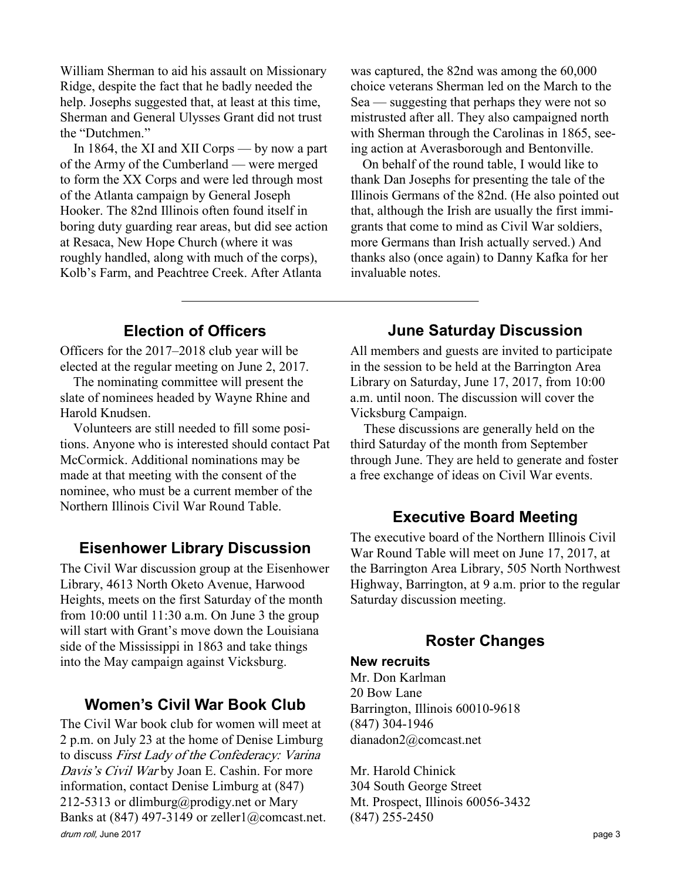William Sherman to aid his assault on Missionary Ridge, despite the fact that he badly needed the help. Josephs suggested that, at least at this time, Sherman and General Ulysses Grant did not trust the "Dutchmen."

In 1864, the XI and XII Corps — by now a part of the Army of the Cumberland — were merged to form the XX Corps and were led through most of the Atlanta campaign by General Joseph Hooker. The 82nd Illinois often found itself in boring duty guarding rear areas, but did see action at Resaca, New Hope Church (where it was roughly handled, along with much of the corps), Kolb's Farm, and Peachtree Creek. After Atlanta

was captured, the 82nd was among the 60,000 choice veterans Sherman led on the March to the Sea — suggesting that perhaps they were not so mistrusted after all. They also campaigned north with Sherman through the Carolinas in 1865, seeing action at Averasborough and Bentonville.

 On behalf of the round table, I would like to thank Dan Josephs for presenting the tale of the Illinois Germans of the 82nd. (He also pointed out that, although the Irish are usually the first immigrants that come to mind as Civil War soldiers, more Germans than Irish actually served.) And thanks also (once again) to Danny Kafka for her invaluable notes.

### Election of Officers

Officers for the 2017–2018 club year will be elected at the regular meeting on June 2, 2017.

The nominating committee will present the slate of nominees headed by Wayne Rhine and Harold Knudsen.

Volunteers are still needed to fill some positions. Anyone who is interested should contact Pat McCormick. Additional nominations may be made at that meeting with the consent of the nominee, who must be a current member of the Northern Illinois Civil War Round Table.

## Eisenhower Library Discussion

The Civil War discussion group at the Eisenhower Library, 4613 North Oketo Avenue, Harwood Heights, meets on the first Saturday of the month from  $10:00$  until  $11:30$  a.m. On June 3 the group will start with Grant's move down the Louisiana side of the Mississippi in 1863 and take things into the May campaign against Vicksburg.

## Women's Civil War Book Club

drum roll, June 2017 **page 3** The Civil War book club for women will meet at 2 p.m. on July 23 at the home of Denise Limburg to discuss First Lady of the Confederacy: Varina Davis's Civil Warby Joan E. Cashin. For more information, contact Denise Limburg at (847) 212-5313 or dlimburg@prodigy.net or Mary Banks at  $(847)$  497-3149 or zeller1@comcast.net.

# June Saturday Discussion

All members and guests are invited to participate in the session to be held at the Barrington Area Library on Saturday, June 17, 2017, from 10:00 a.m. until noon. The discussion will cover the Vicksburg Campaign.

These discussions are generally held on the third Saturday of the month from September through June. They are held to generate and foster a free exchange of ideas on Civil War events.

## Executive Board Meeting

The executive board of the Northern Illinois Civil War Round Table will meet on June 17, 2017, at the Barrington Area Library, 505 North Northwest Highway, Barrington, at 9 a.m. prior to the regular Saturday discussion meeting.

## Roster Changes

#### New recruits

Mr. Don Karlman 20 Bow Lane Barrington, Illinois 60010-9618 (847) 304-1946 dianadon2@comcast.net

Mr. Harold Chinick 304 South George Street Mt. Prospect, Illinois 60056-3432 (847) 255-2450